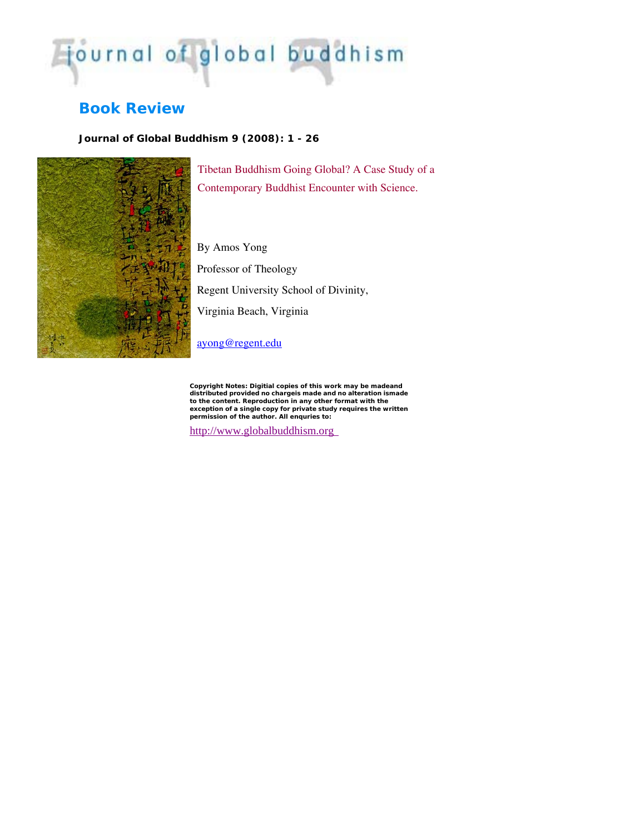## journal of global buddhism

## **Book Review**

*Journal of Global Buddhism 9 (2008): 1 - 26*



Tibetan Buddhism Going Global? A Case Study of a Contemporary Buddhist Encounter with Science.

By Amos Yong Professor of Theology Regent University School of Divinity, Virginia Beach, Virginia

[ayong@regent.edu](mailto:ayong@regent.edu)

*Copyright Notes:* **Digitial copies of this work may be madeand distributed provided no chargeis made and no alteration is to the content. Reproduction in any other format with the made exception of a single copy for private study requires the writt en permission of the author. All enquries to:** 

http://www.globalbuddhism.org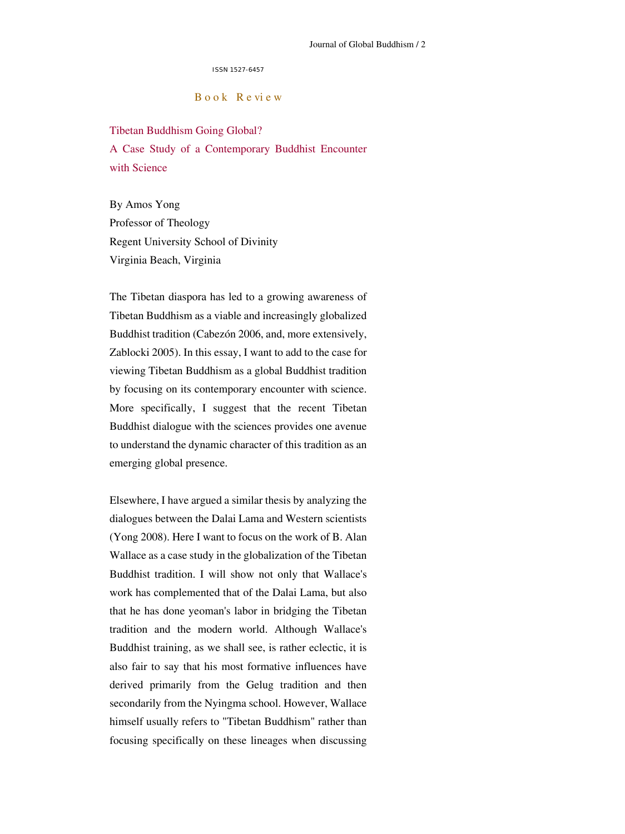ISSN 1527-6457

B o o k R e vi e w

Tibetan Buddhism Going Global? A Case Study of a Contemporary Buddhist Encounter with Science

By Amos Yong Professor of Theology Regent University School of Divinity Virginia Beach, Virginia

The Tibetan diaspora has led to a growing awareness of Tibetan Buddhism as a viable and increasingly globalized Buddhist tradition (Cabezón 2006, and, more extensively, Zablocki 2005). In this essay, I want to add to the case for viewing Tibetan Buddhism as a global Buddhist tradition by focusing on its contemporary encounter with science. More specifically, I suggest that the recent Tibetan Buddhist dialogue with the sciences provides one avenue to understand the dynamic character of this tradition as an emerging global presence.

Elsewhere, I have argued a similar thesis by analyzing the dialogues between the Dalai Lama and Western scientists (Yong 2008). Here I want to focus on the work of B. Alan Wallace as a case study in the globalization of the Tibetan Buddhist tradition. I will show not only that Wallace's work has complemented that of the Dalai Lama, but also that he has done yeoman's labor in bridging the Tibetan tradition and the modern world. Although Wallace's Buddhist training, as we shall see, is rather eclectic, it is also fair to say that his most formative influences have derived primarily from the Gelug tradition and then secondarily from the Nyingma school. However, Wallace himself usually refers to "Tibetan Buddhism" rather than focusing specifically on these lineages when discussing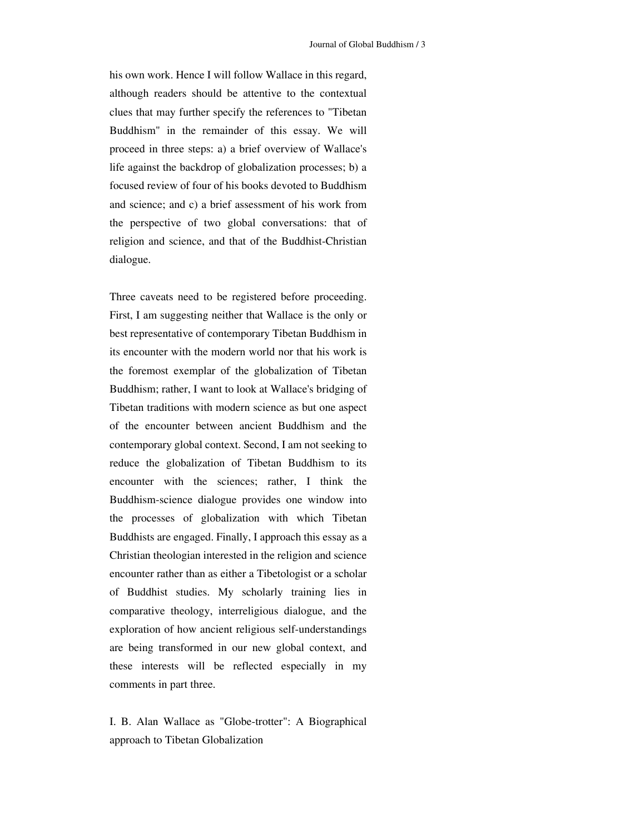his own work. Hence I will follow Wallace in this regard, although readers should be attentive to the contextual clues that may further specify the references to "Tibetan Buddhism" in the remainder of this essay. We will proceed in three steps: a) a brief overview of Wallace's life against the backdrop of globalization processes; b) a focused review of four of his books devoted to Buddhism and science; and c) a brief assessment of his work from the perspective of two global conversations: that of religion and science, and that of the Buddhist-Christian dialogue.

Three caveats need to be registered before proceeding. First, I am suggesting neither that Wallace is the only or best representative of contemporary Tibetan Buddhism in its encounter with the modern world nor that his work is the foremost exemplar of the globalization of Tibetan Buddhism; rather, I want to look at Wallace's bridging of Tibetan traditions with modern science as but one aspect of the encounter between ancient Buddhism and the contemporary global context. Second, I am not seeking to reduce the globalization of Tibetan Buddhism to its encounter with the sciences; rather, I think the Buddhism-science dialogue provides one window into the processes of globalization with which Tibetan Buddhists are engaged. Finally, I approach this essay as a Christian theologian interested in the religion and science encounter rather than as either a Tibetologist or a scholar of Buddhist studies. My scholarly training lies in comparative theology, interreligious dialogue, and the exploration of how ancient religious self-understandings are being transformed in our new global context, and these interests will be reflected especially in my comments in part three.

I. B. Alan Wallace as "Globe-trotter": A Biographical approach to Tibetan Globalization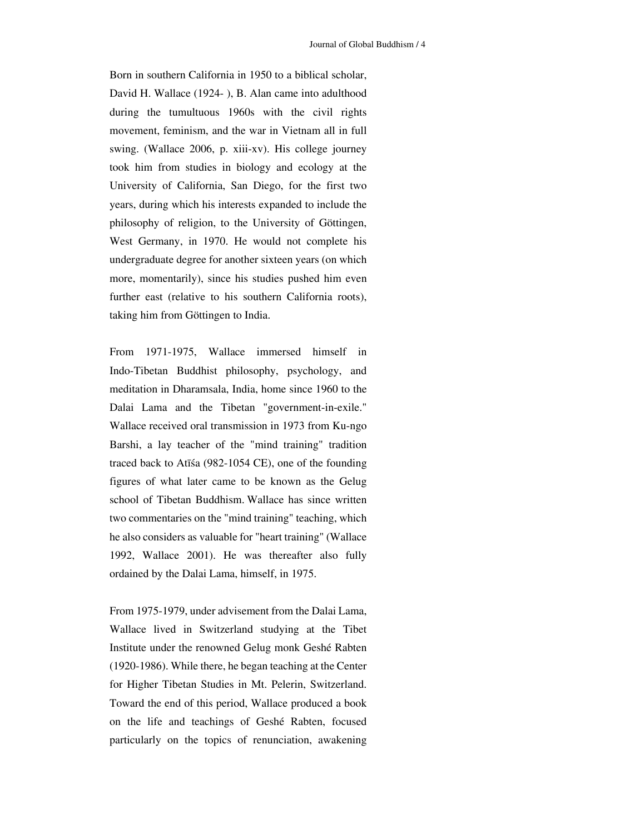Born in southern California in 1950 to a biblical scholar, David H. Wallace (1924- ), B. Alan came into adulthood during the tumultuous 1960s with the civil rights movement, feminism, and the war in Vietnam all in full swing. (Wallace 2006, p. xiii-xv). His college journey took him from studies in biology and ecology at the University of California, San Diego, for the first two years, during which his interests expanded to include the philosophy of religion, to the University of Göttingen, West Germany, in 1970. He would not complete his undergraduate degree for another sixteen years (on which more, momentarily), since his studies pushed him even further east (relative to his southern California roots), taking him from Göttingen to India.

From 1971-1975, Wallace immersed himself in Indo-Tibetan Buddhist philosophy, psychology, and meditation in Dharamsala, India, home since 1960 to the Dalai Lama and the Tibetan "government-in-exile." Wallace received oral transmission in 1973 from Ku-ngo Barshi, a lay teacher of the "mind training" tradition traced back to Atīśa (982-1054 CE), one of the founding figures of what later came to be known as the Gelug school of Tibetan Buddhism. Wallace has since written two commentaries on the "mind training" teaching, which he also considers as valuable for "heart training" (Wallace 1992, Wallace 2001). He was thereafter also fully ordained by the Dalai Lama, himself, in 1975.

From 1975-1979, under advisement from the Dalai Lama, Wallace lived in Switzerland studying at the Tibet Institute under the renowned Gelug monk Geshé Rabten (1920-1986). While there, he began teaching at the Center for Higher Tibetan Studies in Mt. Pelerin, Switzerland. Toward the end of this period, Wallace produced a book on the life and teachings of Geshé Rabten, focused particularly on the topics of renunciation, awakening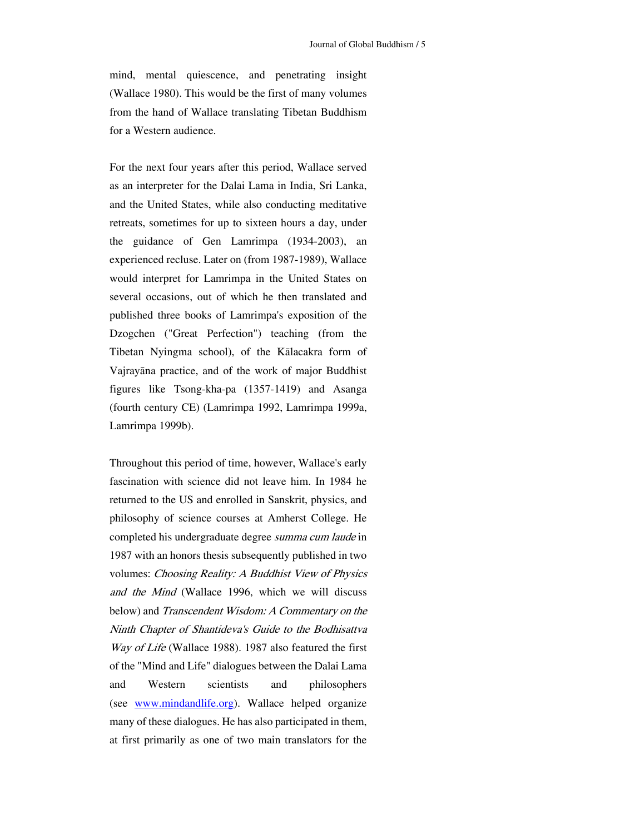mind, mental quiescence, and penetrating insight (Wallace 1980). This would be the first of many volumes from the hand of Wallace translating Tibetan Buddhism for a Western audience.

For the next four years after this period, Wallace served as an interpreter for the Dalai Lama in India, Sri Lanka, and the United States, while also conducting meditative retreats, sometimes for up to sixteen hours a day, under the guidance of Gen Lamrimpa (1934-2003), an experienced recluse. Later on (from 1987-1989), Wallace would interpret for Lamrimpa in the United States on several occasions, out of which he then translated and published three books of Lamrimpa's exposition of the Dzogchen ("Great Perfection") teaching (from the Tibetan Nyingma school), of the Kālacakra form of Vajrayāna practice, and of the work of major Buddhist figures like Tsong-kha-pa (1357-1419) and Asanga (fourth century CE) (Lamrimpa 1992, Lamrimpa 1999a, Lamrimpa 1999b).

hroughout this period of time, however, Wallace's early T b elow) and Transcendent Wisdom: A Commentary on the o f the "Mind and Life" dialogues between the Dalai Lama fascination with science did not leave him. In 1984 he returned to the US and enrolled in Sanskrit, physics, and philosophy of science courses at Amherst College. He completed his undergraduate degree *summa cum laude* in 1987 with an honors thesis subsequently published in two volumes: Choosing Reality: A Buddhist View of Physics and the Mind (Wallace 1996, which we will discuss Ninth Chapter of Shantideva's Guide to the Bodhisattva Way of Life (Wallace 1988). 1987 also featured the first and Western scientists and philosophers (see [www.mindandlife.org](http://www.mindandlife.org/)). Wallace helped organize many of these dialogues. He has also participated in them, at first primarily as one of two main translators for the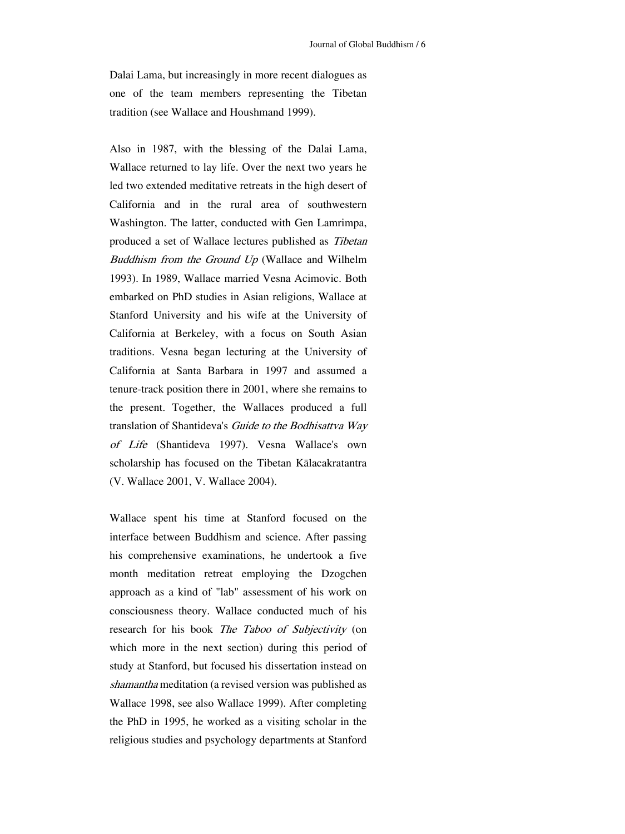Dalai Lama, but increasingly in more recent dialogues as one of the team members representing the Tibetan tradition (see Wallace and Houshmand 1999).

Also in 1987, with the blessing of the Dalai Lama, Wallace returned to lay life. Over the next two years he embar ked on PhD studies in Asian religions, Wallace at ( V. Wallace 2001, V. Wallace 2004). led two extended meditative retreats in the high desert of California and in the rural area of southwestern Washington. The latter, conducted with Gen Lamrimpa, produced a set of Wallace lectures published as Tibetan Buddhism from the Ground Up (Wallace and Wilhelm 1993). In 1989, Wallace married Vesna Acimovic. Both Stanford University and his wife at the University of California at Berkeley, with a focus on South Asian traditions. Vesna began lecturing at the University of California at Santa Barbara in 1997 and assumed a tenure-track position there in 2001, where she remains to the present. Together, the Wallaces produced a full translation of Shantideva's Guide to the Bodhisattva Way of Life (Shantideva 1997). Vesna Wallace's own scholarship has focused on the Tibetan Kālacakratantra

Wallace spent his time at Stanford focused on the interface between Buddhism and science. After passing his comprehensive examinations, he undertook a five month meditation retreat employing the Dzogchen approach as a kind of "lab" assessment of his work on consciousness theory. Wallace conducted much of his research for his book *The Taboo of Subjectivity* (on which more in the next section) during this period of study at Stanford, but focused his dissertation instead on shamantha meditation (a revised version was published as Wallace 1998, see also Wallace 1999). After completing the PhD in 1995, he worked as a visiting scholar in the religious studies and psychology departments at Stanford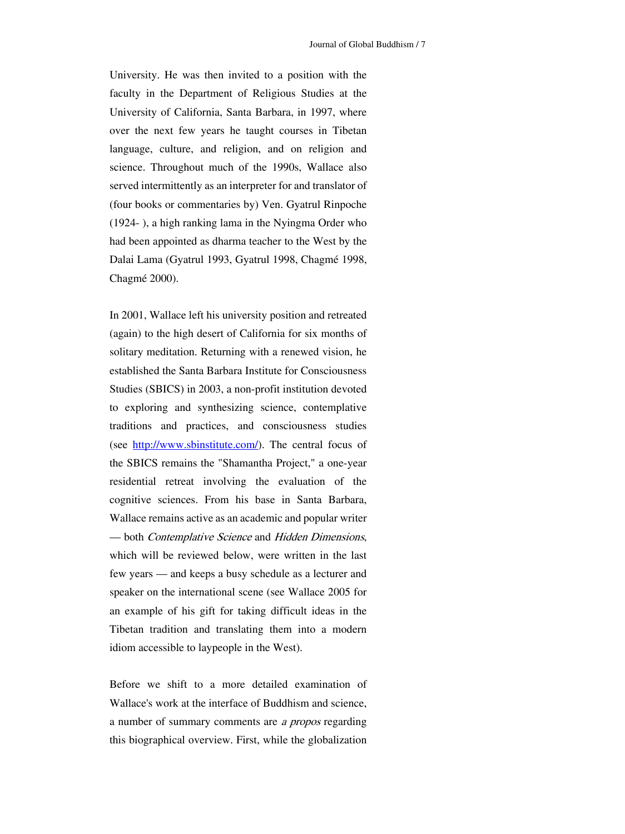University. He was then invited to a position with the faculty in the Department of Religious Studies at the University of California, Santa Barbara, in 1997, where over the next few years he taught courses in Tibetan language, culture, and religion, and on religion and science. Throughout much of the 1990s, Wallace also served intermittently as an interpreter for and translator of (four books or commentaries by) Ven. Gyatrul Rinpoche (1924- ), a high ranking lama in the Nyingma Order who had been appointed as dharma teacher to the West by the Dalai Lama (Gyatrul 1993, Gyatrul 1998, Chagmé 1998, Chagmé 2000).

(again) to the high desert of California for six months of solitary meditation. Returning with a renewed vision, he In 2001, Wallace left his university position and retreated established the Santa Barbara Institute for Consciousness Studies (SBICS) in 2003, a non-profit institution devoted to exploring and synthesizing science, contemplative traditions and practices, and consciousness studies (see [http://www.sbinstitute.com/\)](http://www.sbinstitute.com/). The central focus of the SBICS remains the "Shamantha Project," a one-year residential retreat involving the evaluation of the cognitive sciences. From his base in Santa Barbara, Wallace remains active as an academic and popular writer — both Contemplative Science and Hidden Dimensions, which will be reviewed below, were written in the last few years — and keeps a busy schedule as a lecturer and speaker on the international scene (see Wallace 2005 for an example of his gift for taking difficult ideas in the Tibetan tradition and translating them into a modern idiom accessible to laypeople in the West).

Before we shift to a more detailed examination of Wallace's work at the interface of Buddhism and science, a number of summary comments are a propos regarding this biographical overview. First, while the globalization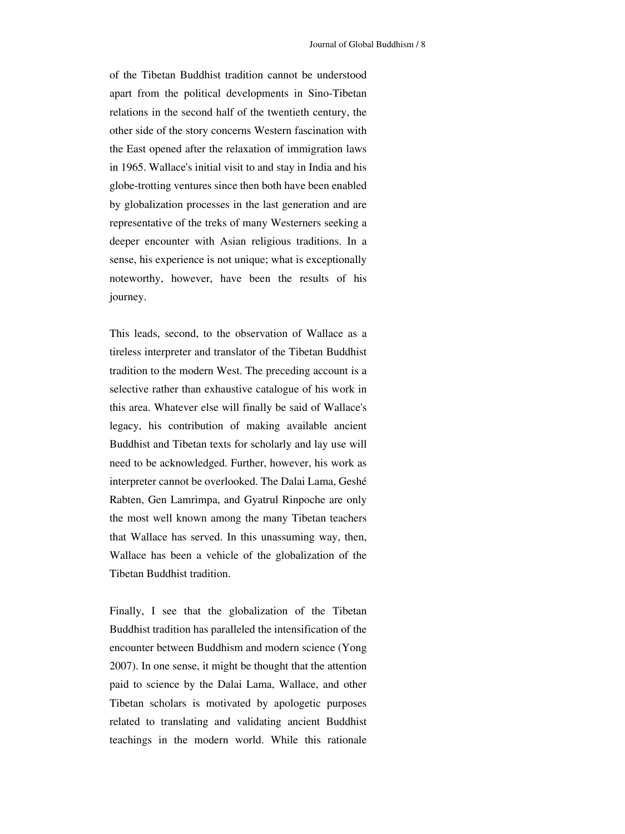of the Tibetan Buddhist tradition cannot be understood apart from the political developments in Sino-Tibetan relations in the second half of the twentieth century, the other side of the story concerns Western fascination with the East opened after the relaxation of immigration laws in 1965. Wallace's initial visit to and stay in India and his globe-trotting ventures since then both have been enabled by globalization processes in the last generation and are representative of the treks of many Westerners seeking a deeper encounter with Asian religious traditions. In a sense, his experience is not unique; what is exceptionally noteworthy, however, have been the results of his journey.

tradition to the modern West. The preceding account is a selective rather than exhaustive catalogue of his work in This leads, second, to the observation of Wallace as a tireless interpreter and translator of the Tibetan Buddhist this area. Whatever else will finally be said of Wallace's legacy, his contribution of making available ancient Buddhist and Tibetan texts for scholarly and lay use will need to be acknowledged. Further, however, his work as interpreter cannot be overlooked. The Dalai Lama, Geshé Rabten, Gen Lamrimpa, and Gyatrul Rinpoche are only the most well known among the many Tibetan teachers that Wallace has served. In this unassuming way, then, Wallace has been a vehicle of the globalization of the Tibetan Buddhist tradition.

encounter between Buddhism and modern science (Yong 2007). In one sense, it might be thought that the attention Finally, I see that the globalization of the Tibetan Buddhist tradition has paralleled the intensification of the paid to science by the Dalai Lama, Wallace, and other Tibetan scholars is motivated by apologetic purposes related to translating and validating ancient Buddhist teachings in the modern world. While this rationale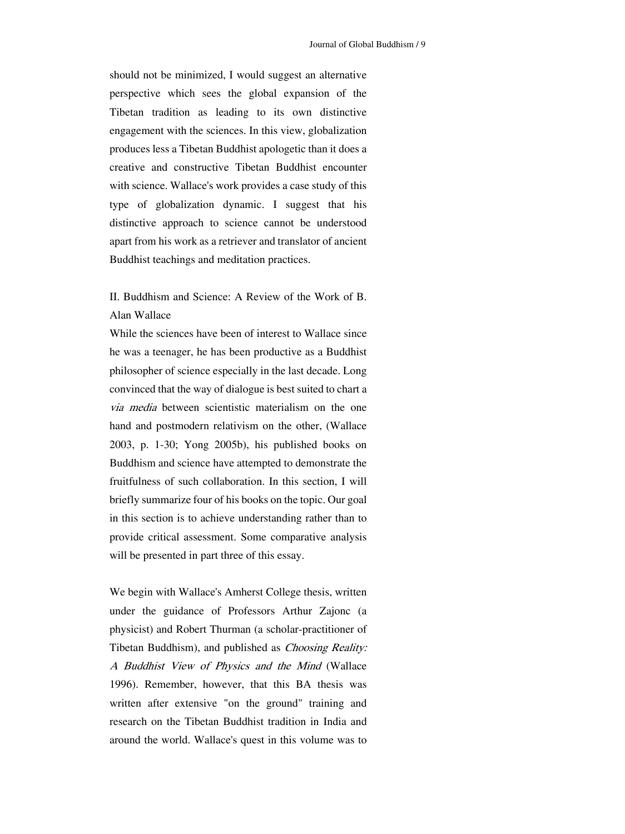should not be minimized, I would suggest an alternative perspective which sees the global expansion of the Tibetan tradition as leading to its own distinctive engagement with the sciences. In this view, globalization produces less a Tibetan Buddhist apologetic than it does a creative and constructive Tibetan Buddhist encounter with science. Wallace's work provides a case study of this type of globalization dynamic. I suggest that his distinctive approach to science cannot be understood apart from his work as a retriever and translator of ancient Buddhist teachings and meditation practices.

II. Buddhism and Science: A Review of the Work of B. Alan Wallace

While the sciences have been of interest to Wallace since he was a teenager, he has been productive as a Buddhist convinced that the way of dialogue is best suited to chart a philosopher of science especially in the last decade. Long via media between scientistic materialism on the one hand and postmodern relativism on the other, (Wallace 2003, p. 1-30; Yong 2005b), his published books on Buddhism and science have attempted to demonstrate the fruitfulness of such collaboration. In this section, I will briefly summarize four of his books on the topic. Our goal in this section is to achieve understanding rather than to provide critical assessment. Some comparative analysis will be presented in part three of this essay.

Tibetan Buddhism), and published as *Choosing Reality:* A Buddhist View of Physics and the Mind (Wallace We begin with Wallace's Amherst College thesis, written under the guidance of Professors Arthur Zajonc (a physicist) and Robert Thurman (a scholar-practitioner of 1996). Remember, however, that this BA thesis was written after extensive "on the ground" training and research on the Tibetan Buddhist tradition in India and around the world. Wallace's quest in this volume was to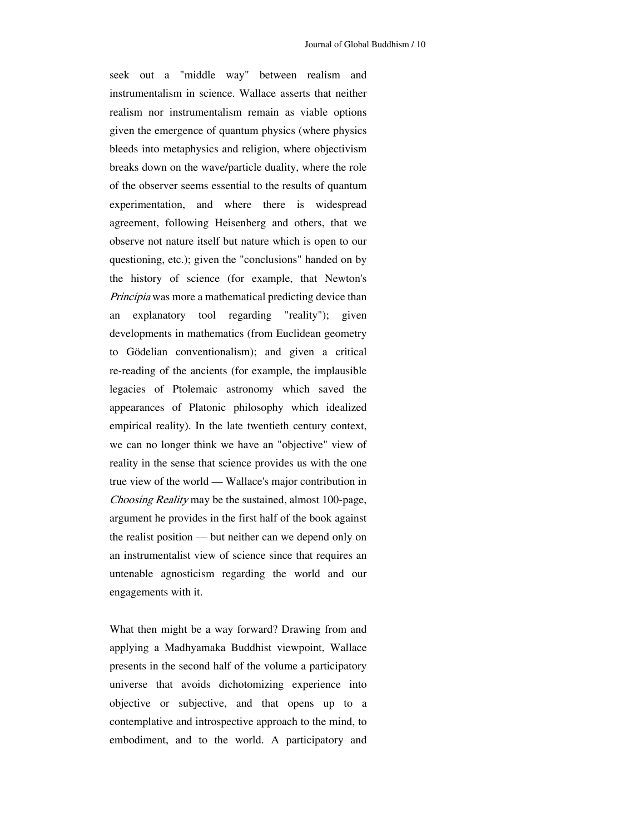s eek out a "middle way" between realism and l egacies of Ptolemaic astronomy which saved the instrumentalism in science. Wallace asserts that neither realism nor instrumentalism remain as viable options given the emergence of quantum physics (where physics bleeds into metaphysics and religion, where objectivism breaks down on the wave/particle duality, where the role of the observer seems essential to the results of quantum experimentation, and where there is widespread agreement, following Heisenberg and others, that we observe not nature itself but nature which is open to our questioning, etc.); given the "conclusions" handed on by the history of science (for example, that Newton's Principia was more a mathematical predicting device than an explanatory tool regarding "reality"); given developments in mathematics (from Euclidean geometry to Gödelian conventionalism); and given a critical re-reading of the ancients (for example, the implausible appearances of Platonic philosophy which idealized empirical reality). In the late twentieth century context, we can no longer think we have an "objective" view of reality in the sense that science provides us with the one true view of the world — Wallace's major contribution in Choosing Reality may be the sustained, almost 100-page, argument he provides in the first half of the book against the realist position — but neither can we depend only on an instrumentalist view of science since that requires an untenable agnosticism regarding the world and our engagements with it.

universe that avoids dichotomizing experience into objective or subjective, and that opens up to a What then might be a way forward? Drawing from and applying a Madhyamaka Buddhist viewpoint, Wallace presents in the second half of the volume a participatory contemplative and introspective approach to the mind, to embodiment, and to the world. A participatory and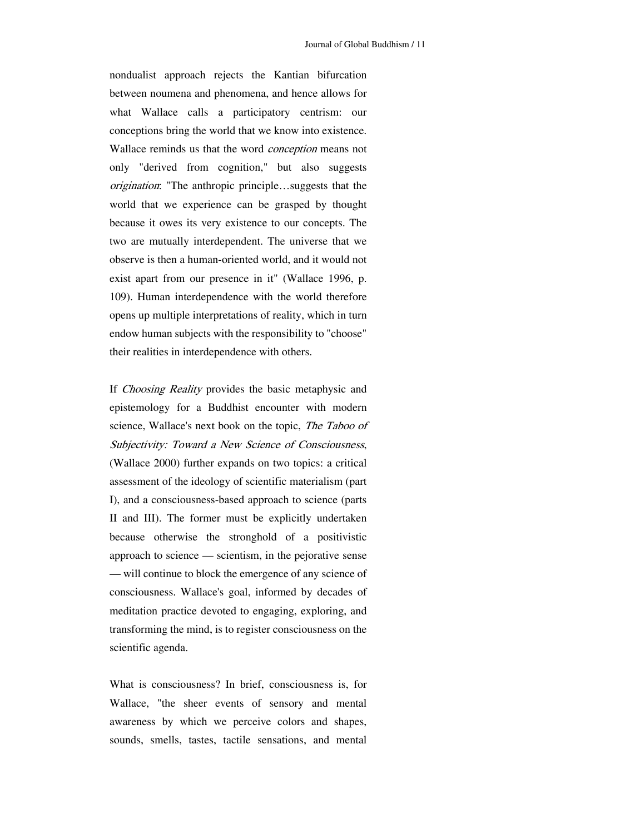e xist apart from our presence in it" (Wallace 1996, p. nondualist approach rejects the Kantian bifurcation between noumena and phenomena, and hence allows for what Wallace calls a participatory centrism: our conceptions bring the world that we know into existence. Wallace reminds us that the word conception means not only "derived from cognition," but also suggests origination: "The anthropic principle…suggests that the world that we experience can be grasped by thought because it owes its very existence to our concepts. The two are mutually interdependent. The universe that we observe is then a human-oriented world, and it would not 109). Human interdependence with the world therefore opens up multiple interpretations of reality, which in turn endow human subjects with the responsibility to "choose" their realities in interdependence with others.

Subjectivity: Toward a New Science of Consciousness, (Wallace 2000) further expands on two topics: a critical b ecause otherwise the stronghold of a positivistic If Choosing Reality provides the basic metaphysic and epistemology for a Buddhist encounter with modern science, Wallace's next book on the topic, The Taboo of assessment of the ideology of scientific materialism (part I), and a consciousness-based approach to science (parts II and III). The former must be explicitly undertaken approach to science — scientism, in the pejorative sense — will continue to block the emergence of any science of consciousness. Wallace's goal, informed by decades of meditation practice devoted to engaging, exploring, and transforming the mind, is to register consciousness on the scientific agenda.

sounds, smells, tastes, tactile sensations, and mental What is consciousness? In brief, consciousness is, for Wallace, "the sheer events of sensory and mental awareness by which we perceive colors and shapes,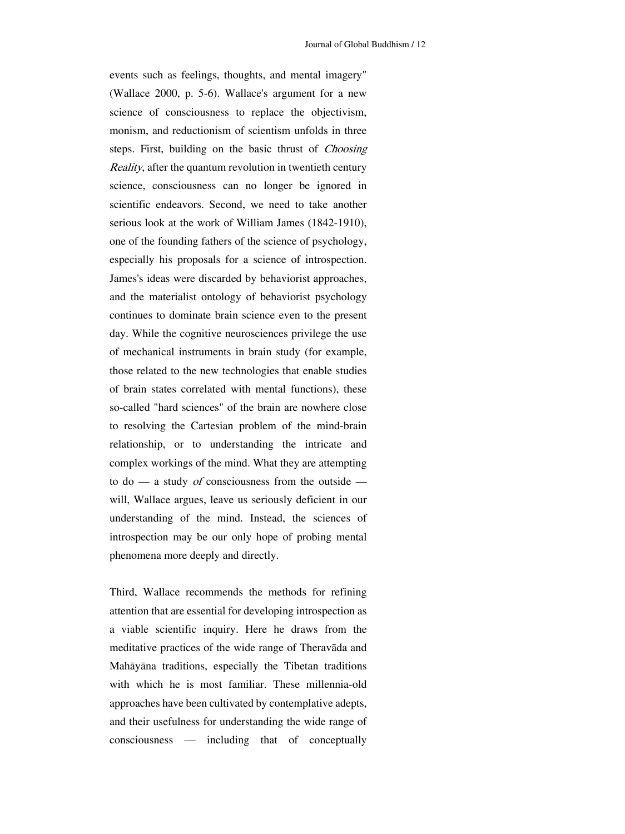events such as feelings, thoughts, and mental imagery" e specially his proposals for a science of introspection. (Wallace 2000, p. 5-6). Wallace's argument for a new science of consciousness to replace the objectivism, monism, and reductionism of scientism unfolds in three steps. First, building on the basic thrust of *Choosing* Reality, after the quantum revolution in twentieth century science, consciousness can no longer be ignored in scientific endeavors. Second, we need to take another serious look at the work of William James (1842-1910), one of the founding fathers of the science of psychology, James's ideas were discarded by behaviorist approaches, and the materialist ontology of behaviorist psychology continues to dominate brain science even to the present day. While the cognitive neurosciences privilege the use of mechanical instruments in brain study (for example, those related to the new technologies that enable studies of brain states correlated with mental functions), these so-called "hard sciences" of the brain are nowhere close to resolving the Cartesian problem of the mind-brain relationship, or to understanding the intricate and complex workings of the mind. What they are attempting to do — a study *of* consciousness from the outside will, Wallace argues, leave us seriously deficient in our understanding of the mind. Instead, the sciences of introspection may be our only hope of probing mental phenomena more deeply and directly.

meditative practices of the wide range of Theravāda and Mahāyāna traditions, especially the Tibetan traditions Third, Wallace recommends the methods for refining attention that are essential for developing introspection as a viable scientific inquiry. Here he draws from the with which he is most familiar. These millennia-old approaches have been cultivated by contemplative adepts, and their usefulness for understanding the wide range of consciousness — including that of conceptually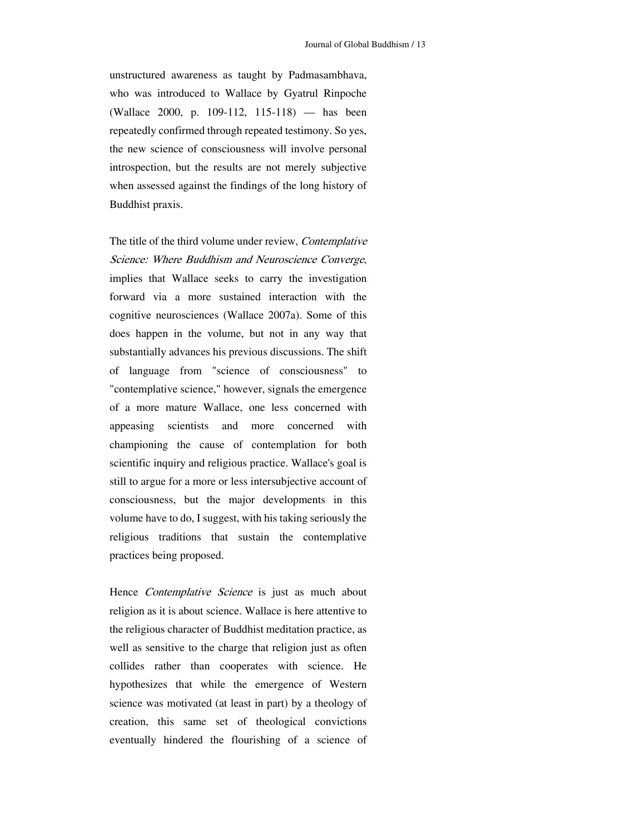unstructured awareness as taught by Padmasambhava, who was introduced to Wallace by Gyatrul Rinpoche (Wallace 2000, p. 109-112, 115-118) — has been repeatedly confirmed through repeated testimony. So yes, the new science of consciousness will involve personal introspection, but the results are not merely subjective when assessed against the findings of the long history of Buddhist praxis.

forward via a more sustained interaction with the cognitive neurosciences (Wallace 2007a). Some of this s ubstantially advances his previous discussions. The shift o f language from "science of consciousness" to The title of the third volume under review, *Contemplative* Science: Where Buddhism and Neuroscience Converge, implies that Wallace seeks to carry the investigation does happen in the volume, but not in any way that "contemplative science," however, signals the emergence of a more mature Wallace, one less concerned with appeasing scientists and more concerned with championing the cause of contemplation for both scientific inquiry and religious practice. Wallace's goal is still to argue for a more or less intersubjective account of consciousness, but the major developments in this volume have to do, I suggest, with his taking seriously the religious traditions that sustain the contemplative practices being proposed.

well as sensitive to the charge that religion just as often collides rather than cooperates with science. He Hence Contemplative Science is just as much about religion as it is about science. Wallace is here attentive to the religious character of Buddhist meditation practice, as hypothesizes that while the emergence of Western science was motivated (at least in part) by a theology of creation, this same set of theological convictions eventually hindered the flourishing of a science of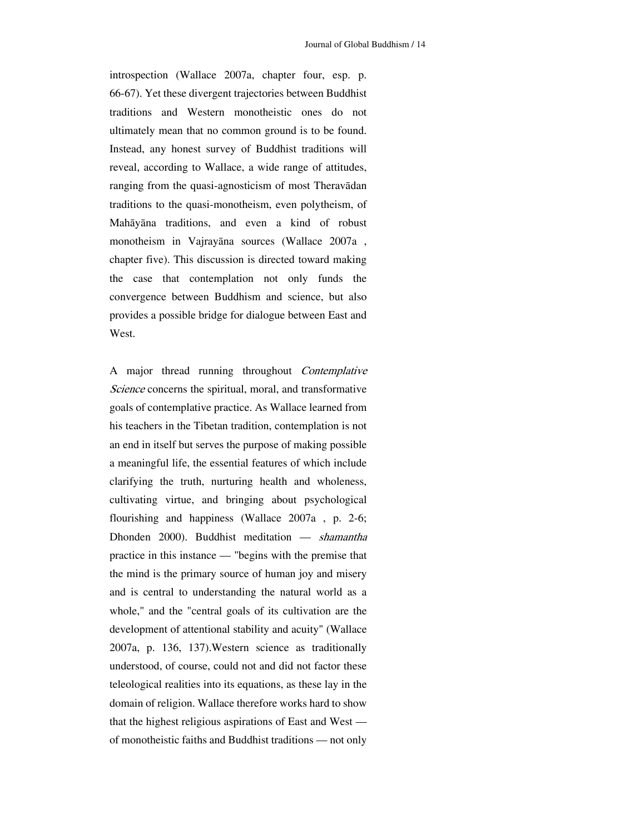introspection (Wallace 2007a, chapter four, esp. p. 66-67). Yet these divergent trajectories between Buddhist traditions and Western monotheistic ones do not ultimately mean that no common ground is to be found. Instead, any honest survey of Buddhist traditions will reveal, according to Wallace, a wide range of attitudes, ranging from the quasi-agnosticism of most Theravādan traditions to the quasi-monotheism, even polytheism, of Mahāyāna traditions, and even a kind of robust monotheism in Vajrayāna sources (Wallace 2007a , chapter five). This discussion is directed toward making the case that contemplation not only funds the convergence between Buddhism and science, but also provides a possible bridge for dialogue between East and West.

his teachers in the Tibetan tradition, contemplation is not an end in itself but serves the purpose of making possible c larifying the truth, nurturing health and wholeness, A major thread running throughout Contemplative Science concerns the spiritual, moral, and transformative goals of contemplative practice. As Wallace learned from a meaningful life, the essential features of which include cultivating virtue, and bringing about psychological flourishing and happiness (Wallace 2007a , p. 2-6; Dhonden 2000). Buddhist meditation — shamantha practice in this instance — "begins with the premise that the mind is the primary source of human joy and misery and is central to understanding the natural world as a whole," and the "central goals of its cultivation are the development of attentional stability and acuity" (Wallace 2007a, p. 136, 137).Western science as traditionally understood, of course, could not and did not factor these teleological realities into its equations, as these lay in the domain of religion. Wallace therefore works hard to show that the highest religious aspirations of East and West of monotheistic faiths and Buddhist traditions — not only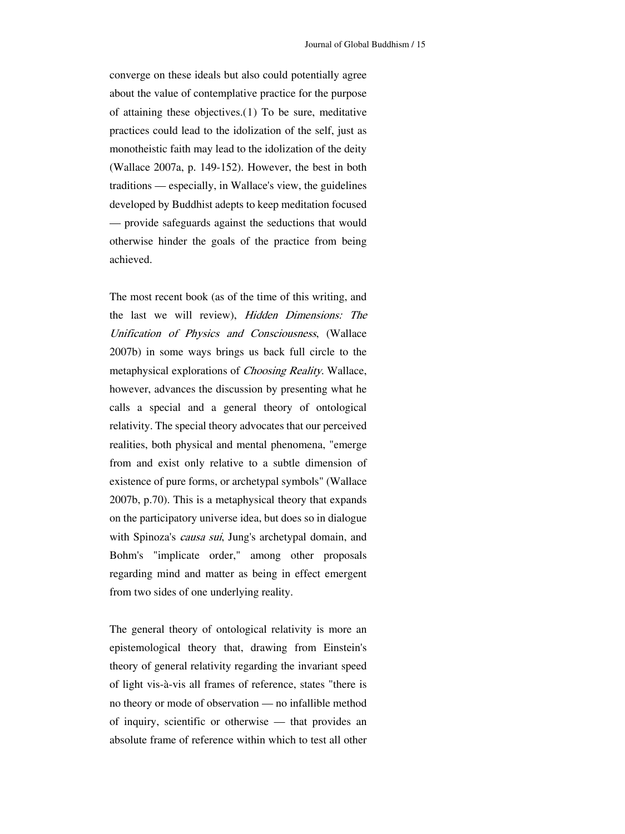converge on these ideals but also could potentially agree about the value of contemplative practice for the purpose of attaining these objectives.([1](#page-20-0)) To be sure, meditative practices could lead to the idolization of the self, just as monotheistic faith may lead to the idolization of the deity (Wallace 2007a, p. 149-152). However, the best in both traditions — especially, in Wallace's view, the guidelines developed by Buddhist adepts to keep meditation focused — provide safeguards against the seductions that would otherwise hinder the goals of the practice from being achieved.

metaphysical explorations of *Choosing Reality*. Wallace, however, advances the discussion by presenting what he r ealities, both physical and mental phenomena, "emerge The most recent book (as of the time of this writing, and the last we will review), Hidden Dimensions: The Unification of Physics and Consciousness, (Wallace 2007b) in some ways brings us back full circle to the calls a special and a general theory of ontological relativity. The special theory advocates that our perceived from and exist only relative to a subtle dimension of existence of pure forms, or archetypal symbols" (Wallace 2007b, p.70). This is a metaphysical theory that expands on the participatory universe idea, but does so in dialogue with Spinoza's *causa sui*, Jung's archetypal domain, and Bohm's "implicate order," among other proposals regarding mind and matter as being in effect emergent from two sides of one underlying reality.

t heory of general relativity regarding the invariant speed of inquiry, scientific or otherwise — that provides an absolute frame of reference within which to test all other The general theory of ontological relativity is more an epistemological theory that, drawing from Einstein's of light vis-à-vis all frames of reference, states "there is no theory or mode of observation — no infallible method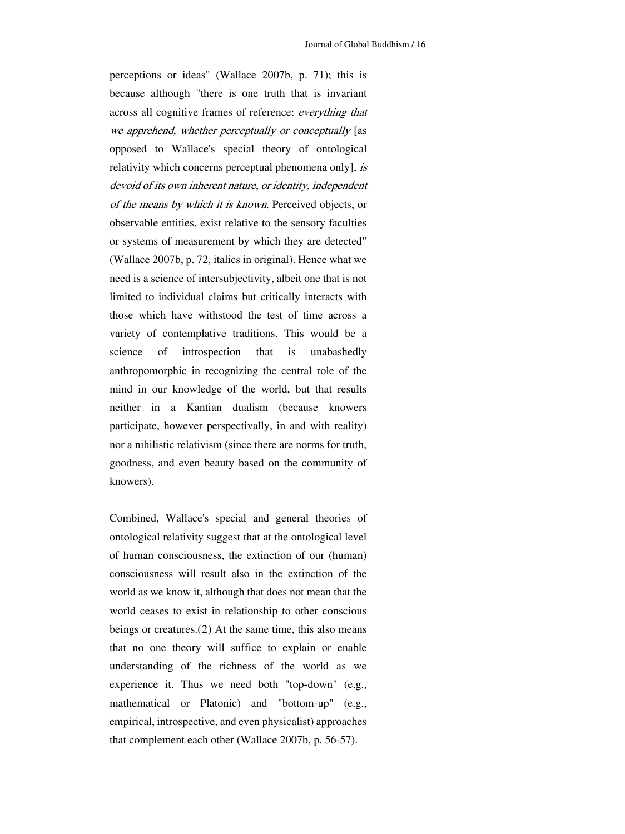( Wallace 2007b, p. 72, italics in original). Hence what we n eed is a science of intersubjectivity, albeit one that is not v ariety of contemplative traditions. This would be a science perceptions or ideas" (Wallace 2007b, p. 71); this is because although "there is one truth that is invariant across all cognitive frames of reference: everything that we apprehend, whether perceptually or conceptually [as opposed to Wallace's special theory of ontological relativity which concerns perceptual phenomena only], is devoid of its own inherent nature, or identity, independent of the means by which it is known. Perceived objects, or observable entities, exist relative to the sensory faculties or systems of measurement by which they are detected" limited to individual claims but critically interacts with those which have withstood the test of time across a of introspection that is unabashedly anthropomorphic in recognizing the central role of the mind in our knowledge of the world, but that results neither in a Kantian dualism (because knowers participate, however perspectivally, in and with reality) nor a nihilistic relativism (since there are norms for truth, goodness, and even beauty based on the community of knowers).

beings or creatures. $(2)$  At the same time, this also means that no one theory will suffice to explain or enable Combined, Wallace's special and general theories of ontological relativity suggest that at the ontological level of human consciousness, the extinction of our (human) consciousness will result also in the extinction of the world as we know it, although that does not mean that the world ceases to exist in relationship to other conscious understanding of the richness of the world as we experience it. Thus we need both "top-down" (e.g., mathematical or Platonic) and "bottom-up" (e.g., empirical, introspective, and even physicalist) approaches that complement each other (Wallace 2007b, p. 56-57).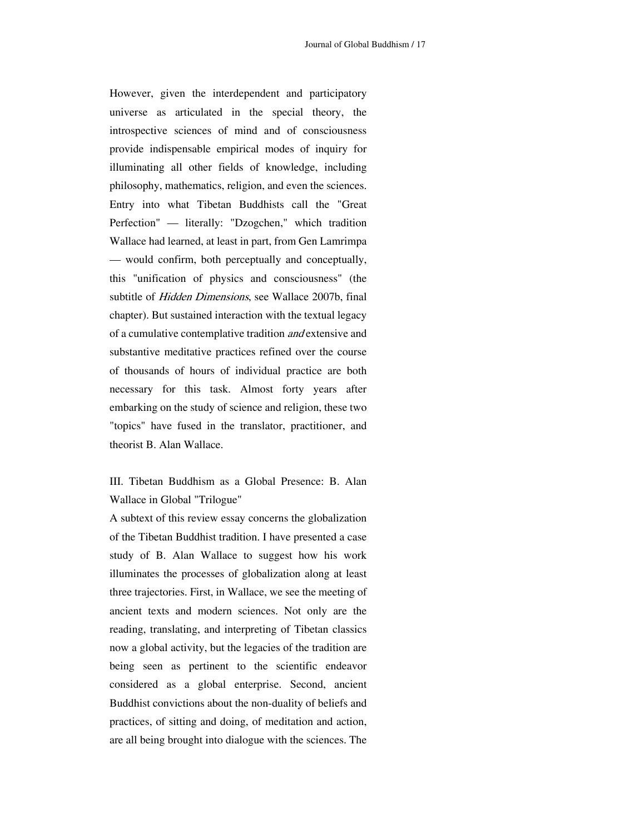Perfection" — literally: "Dzogchen," which tradition Wallace had learned, at least in part, from Gen Lamrimpa However, given the interdependent and participatory universe as articulated in the special theory, the introspective sciences of mind and of consciousness provide indispensable empirical modes of inquiry for illuminating all other fields of knowledge, including philosophy, mathematics, religion, and even the sciences. Entry into what Tibetan Buddhists call the "Great — would confirm, both perceptually and conceptually, this "unification of physics and consciousness" (the subtitle of Hidden Dimensions, see Wallace 2007b, final chapter). But sustained interaction with the textual legacy of a cumulative contemplative tradition and extensive and substantive meditative practices refined over the course of thousands of hours of individual practice are both necessary for this task. Almost forty years after embarking on the study of science and religion, these two "topics" have fused in the translator, practitioner, and theorist B. Alan Wallace.

III. Tibetan Buddhism as a Global Presence: B. Alan Wallace in Global "Trilogue"

A subtext of this review essay concerns the globalization ancient texts and modern sciences. Not only are the reading, translating, and interpreting of Tibetan classics being seen as pertinent to the scientific endeavor of the Tibetan Buddhist tradition. I have presented a case study of B. Alan Wallace to suggest how his work illuminates the processes of globalization along at least three trajectories. First, in Wallace, we see the meeting of now a global activity, but the legacies of the tradition are considered as a global enterprise. Second, ancient Buddhist convictions about the non-duality of beliefs and practices, of sitting and doing, of meditation and action, are all being brought into dialogue with the sciences. The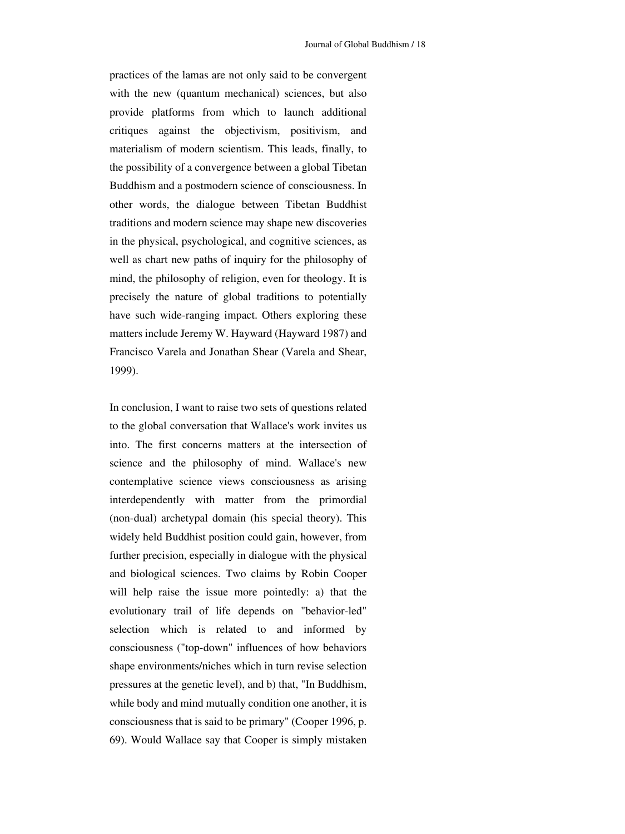practices of the lamas are not only said to be convergent with the new (quantum mechanical) sciences, but also provide platforms from which to launch additional critiques against the objectivism, positivism, and materialism of modern scientism. This leads, finally, to the possibility of a convergence between a global Tibetan Buddhism and a postmodern science of consciousness. In other words, the dialogue between Tibetan Buddhist traditions and modern science may shape new discoveries in the physical, psychological, and cognitive sciences, as well as chart new paths of inquiry for the philosophy of mind, the philosophy of religion, even for theology. It is precisely the nature of global traditions to potentially have such wide-ranging impact. Others exploring these matters include Jeremy W. Hayward (Hayward 1987) and Francisco Varela and Jonathan Shear (Varela and Shear, 1999).

further precision, especially in dialogue with the physical and biological sciences. Two claims by Robin Cooper In conclusion, I want to raise two sets of questions related to the global conversation that Wallace's work invites us into. The first concerns matters at the intersection of science and the philosophy of mind. Wallace's new contemplative science views consciousness as arising interdependently with matter from the primordial (non-dual) archetypal domain (his special theory). This widely held Buddhist position could gain, however, from will help raise the issue more pointedly: a) that the evolutionary trail of life depends on "behavior-led" selection which is related to and informed by consciousness ("top-down" influences of how behaviors shape environments/niches which in turn revise selection pressures at the genetic level), and b) that, "In Buddhism, while body and mind mutually condition one another, it is consciousness that is said to be primary" (Cooper 1996, p. 69). Would Wallace say that Cooper is simply mistaken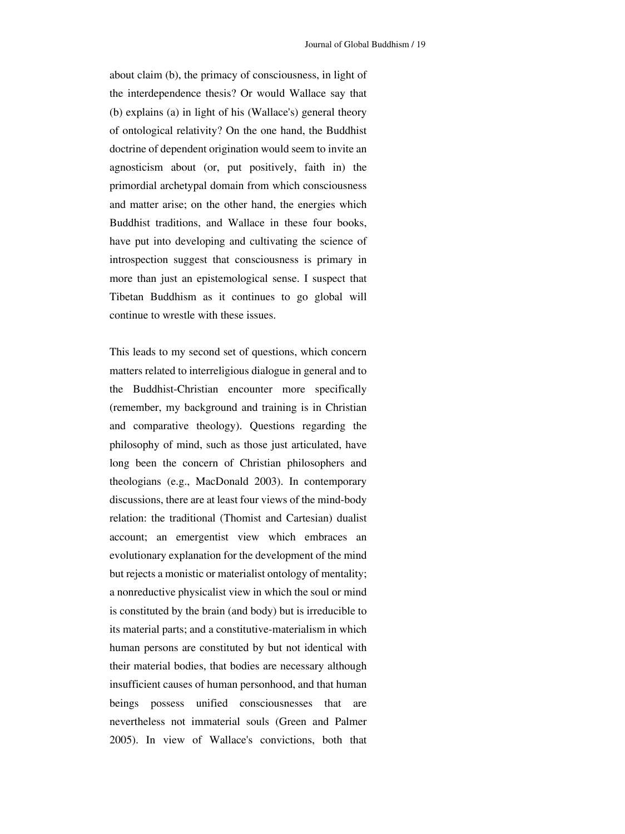about claim (b), the primacy of consciousness, in light of the interdependence thesis? Or would Wallace say that (b) explains (a) in light of his (Wallace's) general theory of ontological relativity? On the one hand, the Buddhist doctrine of dependent origination would seem to invite an agnosticism about (or, put positively, faith in) the primordial archetypal domain from which consciousness and matter arise; on the other hand, the energies which Buddhist traditions, and Wallace in these four books, have put into developing and cultivating the science of introspection suggest that consciousness is primary in more than just an epistemological sense. I suspect that Tibetan Buddhism as it continues to go global will continue to wrestle with these issues.

relation: the traditional (Thomist and Cartesian) dualist account; an emergentist view which embraces an This leads to my second set of questions, which concern matters related to interreligious dialogue in general and to the Buddhist-Christian encounter more specifically (remember, my background and training is in Christian and comparative theology). Questions regarding the philosophy of mind, such as those just articulated, have long been the concern of Christian philosophers and theologians (e.g., MacDonald 2003). In contemporary discussions, there are at least four views of the mind-body evolutionary explanation for the development of the mind but rejects a monistic or materialist ontology of mentality; a nonreductive physicalist view in which the soul or mind is constituted by the brain (and body) but is irreducible to its material parts; and a constitutive-materialism in which human persons are constituted by but not identical with their material bodies, that bodies are necessary although insufficient causes of human personhood, and that human beings possess unified consciousnesses that are nevertheless not immaterial souls (Green and Palmer 2005). In view of Wallace's convictions, both that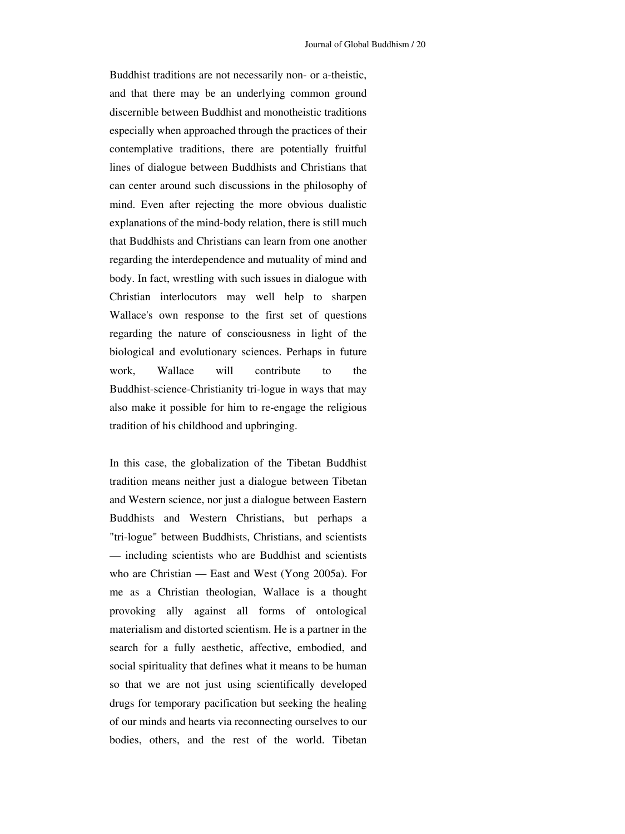Buddhist traditions are not necessarily non- or a-theistic, and that there may be an underlying common ground discernible between Buddhist and monotheistic traditions especially when approached through the practices of their contemplative traditions, there are potentially fruitful lines of dialogue between Buddhists and Christians that can center around such discussions in the philosophy of mind. Even after rejecting the more obvious dualistic explanations of the mind-body relation, there is still much that Buddhists and Christians can learn from one another regarding the interdependence and mutuality of mind and body. In fact, wrestling with such issues in dialogue with Christian interlocutors may well help to sharpen Wallace's own response to the first set of questions regarding the nature of consciousness in light of the biological and evolutionary sciences. Perhaps in future work, Wallace will contribute to the Buddhist-science-Christianity tri-logue in ways that may also make it possible for him to re-engage the religious tradition of his childhood and upbringing.

search for a fully aesthetic, affective, embodied, and social spirituality that defines what it means to be human In this case, the globalization of the Tibetan Buddhist tradition means neither just a dialogue between Tibetan and Western science, nor just a dialogue between Eastern Buddhists and Western Christians, but perhaps a "tri-logue" between Buddhists, Christians, and scientists — including scientists who are Buddhist and scientists who are Christian — East and West (Yong 2005a). For me as a Christian theologian, Wallace is a thought provoking ally against all forms of ontological materialism and distorted scientism. He is a partner in the so that we are not just using scientifically developed drugs for temporary pacification but seeking the healing of our minds and hearts via reconnecting ourselves to our bodies, others, and the rest of the world. Tibetan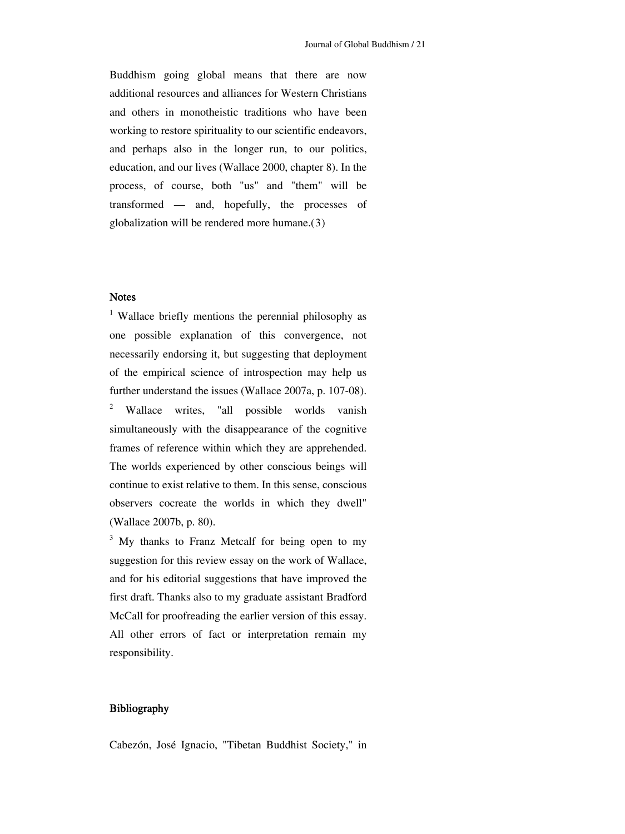<span id="page-20-1"></span>Buddhism going global means that there are now additional resources and alliances for Western Christians and others in monotheistic traditions who have been working to restore spirituality to our scientific endeavors, and perhaps also in the longer run, to our politics, education, and our lives (Wallace 2000, chapter 8). In the process, of course, both "us" and "them" will be transformed — and, hopefully, the processes of globalization will be rendered more humane.([3](#page-20-1))

## **Notes**

<span id="page-20-0"></span>frames of reference within which they are apprehended. The worlds experienced by other conscious beings will ontinue to exist relative to them. In this sense, conscious c observers cocreate the worlds in which they dwell" (Wallace 2007b, p. 80). <sup>1</sup> Wallace briefly mentions the perennial philosophy as one possible explanation of this convergence, not necessarily endorsing it, but suggesting that deployment of the empirical science of introspection may help us further understand the issues (Wallace 2007a, p. 107-08). 2 Wallace writes, "all possible worlds vanish simultaneously with the disappearance of the cognitive

All other errors of fact or interpretation remain my <sup>3</sup> My thanks to Franz Metcalf for being open to my suggestion for this review essay on the work of Wallace, and for his editorial suggestions that have improved the first draft. Thanks also to my graduate assistant Bradford McCall for proofreading the earlier version of this essay. responsibility.

## Bibliography

Cabezón, José Ignacio, "Tibetan Buddhist Society," in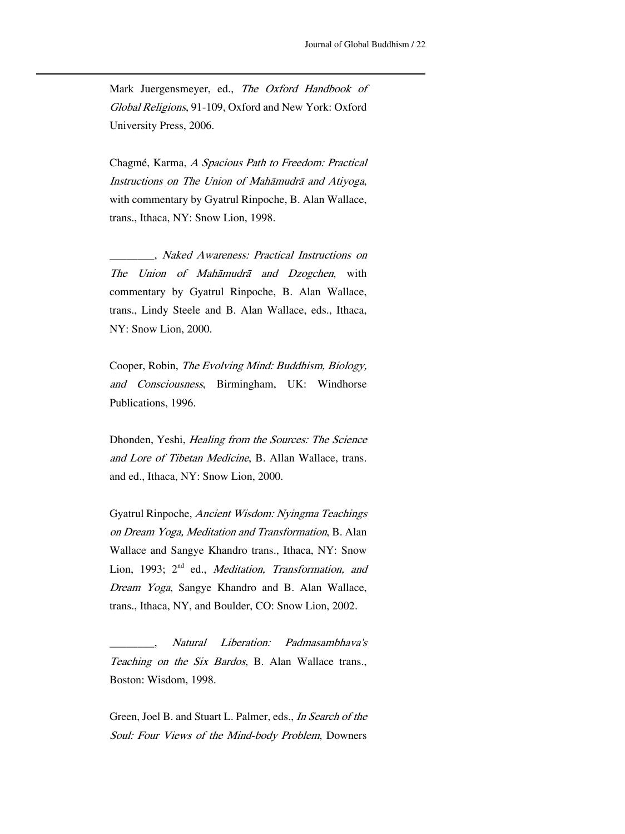Mark Juergensmeyer, ed., The Oxford Handbook of Global Religions, 91-109, Oxford and New York: Oxford University Press, 2006.

<u> 1989 - Johann Stein, marwolaethau a bhann an t-Amhain an t-Amhain an t-Amhain an t-Amhain an t-Amhain an t-A</u>

trans., Ithaca, NY: Snow Lion, 1998. Chagmé, Karma, A Spacious Path to Freedom: Practical Instructions on The Union of Mahāmudrā and Atiyoga, with commentary by Gyatrul Rinpoche, B. Alan Wallace,

\_\_\_\_\_\_\_, Naked Awareness: Practical Instructions on The Union of Mahāmudrā and Dzogchen, with commentary by Gyatrul Rinpoche, B. Alan Wallace,  $\overline{a}$ trans., Lindy Steele and B. Alan Wallace, eds., Ithaca, NY: Snow Lion, 2000.

Cooper, Robin, The Evolving Mind: Buddhism, Biology, and Consciousness, Birmingham, UK: Windhorse Publications, 1996.

and Lore of Tibetan Medicine, B. Allan Wallace, trans. and ed., Ithaca, NY: Snow Lion, 2000. Dhonden, Yeshi, Healing from the Sources: The Science

G yatrul Rinpoche, Ancient Wisdom: Nyingma Teachings Lion, 1993; 2<sup>nd</sup> ed., *Meditation, Transformation, and* Dream Yoga, Sangye Khandro and B. Alan Wallace, on Dream Yoga, Meditation and Transformation, B. Alan Wallace and Sangye Khandro trans., Ithaca, NY: Snow trans., Ithaca, NY, and Boulder, CO: Snow Lion, 2002.

\_\_\_\_\_\_\_\_\_\_\_, Natural Liberation: Padmasambhava's Teaching on the Six Bardos, B. Alan Wallace trans., Boston: Wisdom, 1998.

Green, Joel B. and Stuart L. Palmer, eds., *In Search of the* Soul: Four Views of the Mind-body Problem, Downers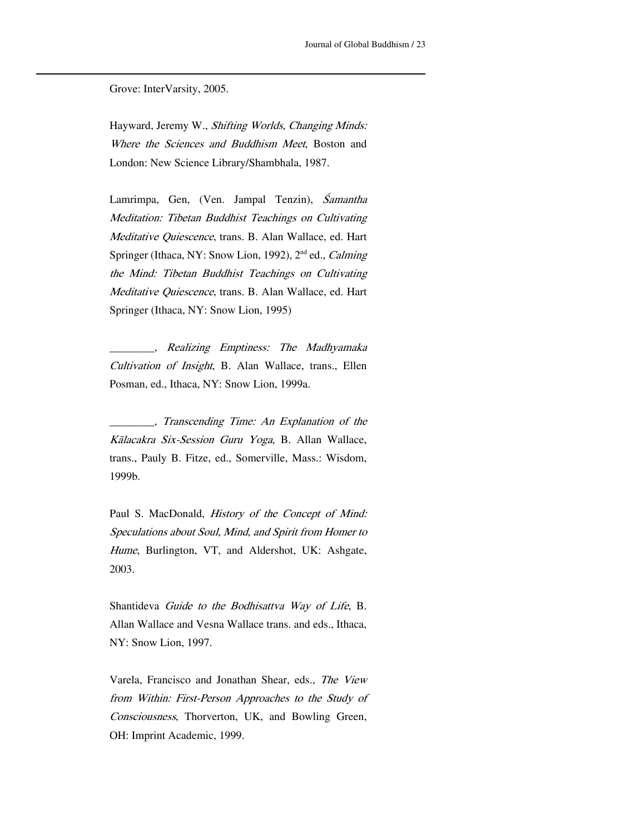Grove: InterVarsity, 2005.

Hayward, Jeremy W., Shifting Worlds, Changing Minds: L ondon: New Science Library/Shambhala, 1987. Where the Sciences and Buddhism Meet, Boston and

<u> 1989 - Johann Stein, marwolaethau a bhann an t-Amhain an t-Amhain an t-Amhain an t-Amhain an t-Amhain an t-A</u>

Lamrimpa, Gen, (Ven. Jampal Tenzin), *Śamantha* Meditation: Tibetan Buddhist Teachings on Cultivating Springer (Ithaca, NY: Snow Lion, 1992), 2<sup>nd</sup> ed., *Calming* the Mind: Tibetan Buddhist Teachings on Cultivating Meditative Quiescence, trans. B. Alan Wallace, ed. Hart Meditative Quiescence, trans. B. Alan Wallace, ed. Hart Springer (Ithaca, NY: Snow Lion, 1995)

\_\_\_\_\_\_\_\_\_\_, Realizing Emptiness: The Madhyamaka Cultivation of Insight, B. Alan Wallace, trans., Ellen Posman, ed., Ithaca, NY: Snow Lion, 1999a.

\_\_\_\_\_\_\_\_, Transcending Time: An Explanation of the Kālacakra Six-Session Guru Yoga, B. Allan Wallace, 1 999b. trans., Pauly B. Fitze, ed., Somerville, Mass.: Wisdom,

Paul S. MacDonald, History of the Concept of Mind: Speculations about Soul, Mind, and Spirit from Homer to Hume, Burlington, VT, and Aldershot, UK: Ashgate, 2003.

Shantideva Guide to the Bodhisattva Way of Life, B. N Y: Snow Lion, 1997. Allan Wallace and Vesna Wallace trans. and eds., Ithaca,

Varela, Francisco and Jonathan Shear, eds., The View from Within: First-Person Approaches to the Study of Consciousness, Thorverton, UK, and Bowling Green, OH: Imprint Academic, 1999.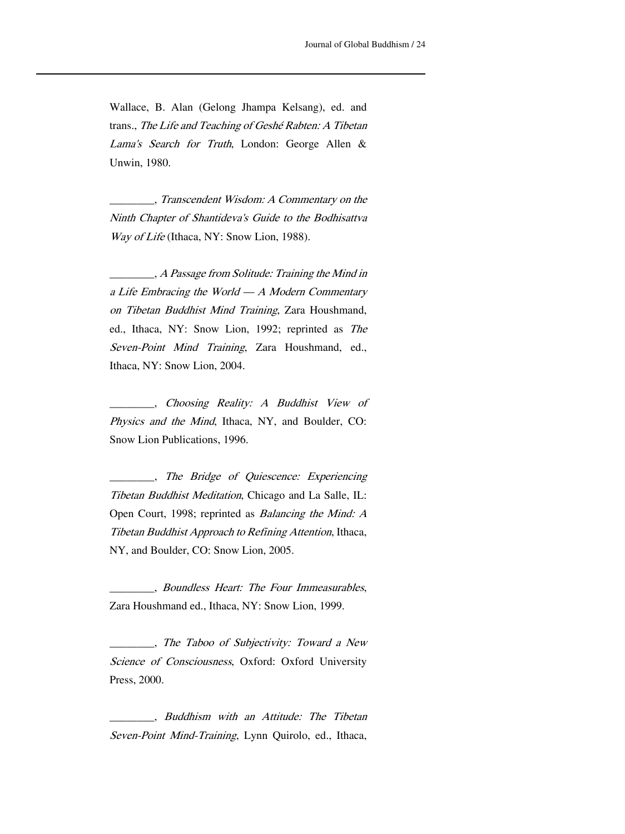Wallace, B. Alan (Gelong Jhampa Kelsang), ed. and U nwin, 1980. trans., The Life and Teaching of Geshé Rabten: A Tibetan Lama's Search for Truth, London: George Allen &

<u> 1989 - Johann Stein, marwolaethau a bhann an t-Amhain an t-Amhain an t-Amhain an t-Amhain an t-Amhain an t-A</u>

\_\_\_\_\_\_\_, Transcendent Wisdom: A Commentary on the \_ Ninth Chapter of Shantideva's Guide to the Bodhisattva Way of Life (Ithaca, NY: Snow Lion, 1988).

\_\_\_\_\_\_\_, A Passage from Solitude: Training the Mind in ed., Ithaca, NY: Snow Lion, 1992; reprinted as The Seven-Point Mind Training, Zara Houshmand, ed., Ithaca, NY: Snow Lion, 2004. \_ a Life Embracing the World — A Modern Commentary on Tibetan Buddhist Mind Training, Zara Houshmand,

\_ \_\_\_\_\_\_ \_, Choosing Reality: A Buddhist View of Snow Lion Publications, 1996. Physics and the Mind, Ithaca, NY, and Boulder, CO:

Open Court, 1998; reprinted as *Balancing the Mind: A* Tibetan Buddhist Approach to Refining Attention, Ithaca, NY, and Boulder, CO: Snow Lion, 2005. \_\_\_\_\_\_\_\_, The Bridge of Quiescence: Experiencing Tibetan Buddhist Meditation, Chicago and La Salle, IL:

 $\overline{a}$ Z ara Houshmand ed., Ithaca, NY: Snow Lion, 1999. \_\_\_\_\_\_\_, Boundless Heart: The Four Immeasurables,

Science of Consciousness, Oxford: Oxford University Press, 2000. The Taboo of Subjectivity: Toward a New

\_ Seven-Point Mind-Training, Lynn Quirolo, ed., Ithaca, \_\_\_\_\_\_\_, Buddhism with an Attitude: The Tibetan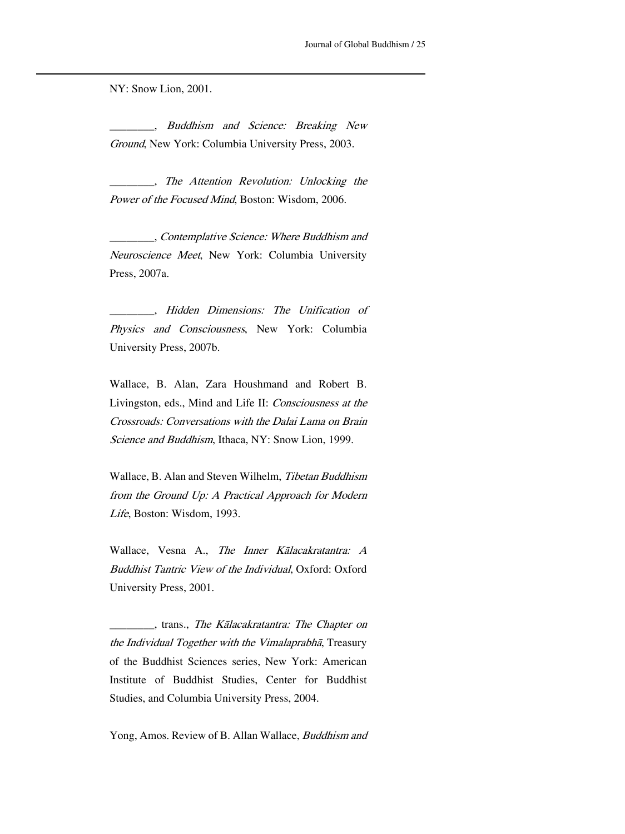NY: Snow Lion, 2001.

\_ Buddhism and Science: Breaking New Ground, New York: Columbia University Press, 2003.

<u> 1989 - Johann Stein, marwolaethau a bhann an t-Amhain an t-Amhain an t-Amhain an t-Amhain an t-Amhain an t-A</u>

\_\_\_\_\_\_\_\_, The Attention Revolution: Unlocking the Power of the Focused Mind, Boston: Wisdom, 2006.

\_\_\_\_\_\_\_\_, Contemplative Science: Where Buddhism and Neuroscience Meet, New York: Columbia University Press, 2007a.

Hidden Dimensions: The Unification of \_\_\_\_\_\_\_\_, Physics and Consciousness, New York: Columbia University Press, 2007b.

Wallace, B. Alan, Zara Houshmand and Robert B. Livingston, eds., Mind and Life II: Consciousness at the Crossroads: Conversations with the Dalai Lama on Brain Science and Buddhism, Ithaca, NY: Snow Lion, 1999.

Wallace, B. Alan and Steven Wilhelm, Tibetan Buddhism from the Ground Up: A Practical Approach for Modern Life, Boston: Wisdom, 1993.

W allace, Vesna A., The Inner Kālacakratantra: A Buddhist Tantric View of the Individual, Oxford: Oxford University Press, 2001.

\_ the Individual Together with the Vimalaprabhā, Treasury of the Buddhist Sciences series, New York: American \_\_\_\_\_\_\_, trans., The Kālacakratantra: The Chapter on Institute of Buddhist Studies, Center for Buddhist Studies, and Columbia University Press, 2004.

Yong, Amos. Review of B. Allan Wallace, Buddhism and